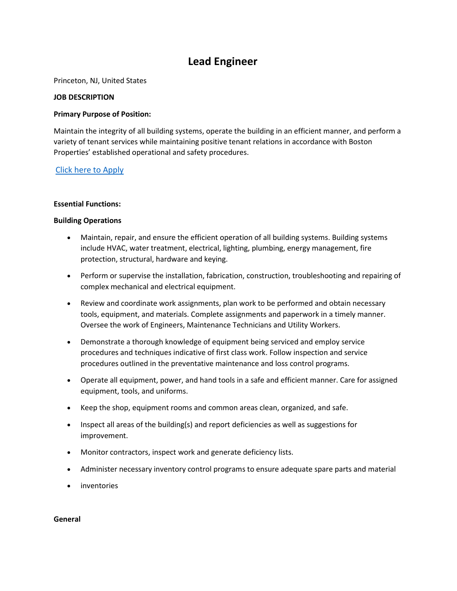# **Lead Engineer**

Princeton, NJ, United States

### **JOB DESCRIPTION**

## **Primary Purpose of Position:**

Maintain the integrity of all building systems, operate the building in an efficient manner, and perform a variety of tenant services while maintaining positive tenant relations in accordance with Boston Properties' established operational and safety procedures.

# [Click here to Apply](https://edxn.fa.us2.oraclecloud.com/hcmUI/CandidateExperience/en/sites/CX_4001/requisitions/preview/22087/?keyword=Lead+Engineer&mode=location)

## **Essential Functions:**

## **Building Operations**

- Maintain, repair, and ensure the efficient operation of all building systems. Building systems include HVAC, water treatment, electrical, lighting, plumbing, energy management, fire protection, structural, hardware and keying.
- Perform or supervise the installation, fabrication, construction, troubleshooting and repairing of complex mechanical and electrical equipment.
- Review and coordinate work assignments, plan work to be performed and obtain necessary tools, equipment, and materials. Complete assignments and paperwork in a timely manner. Oversee the work of Engineers, Maintenance Technicians and Utility Workers.
- Demonstrate a thorough knowledge of equipment being serviced and employ service procedures and techniques indicative of first class work. Follow inspection and service procedures outlined in the preventative maintenance and loss control programs.
- Operate all equipment, power, and hand tools in a safe and efficient manner. Care for assigned equipment, tools, and uniforms.
- Keep the shop, equipment rooms and common areas clean, organized, and safe.
- Inspect all areas of the building(s) and report deficiencies as well as suggestions for improvement.
- Monitor contractors, inspect work and generate deficiency lists.
- Administer necessary inventory control programs to ensure adequate spare parts and material
- **inventories**

#### **General**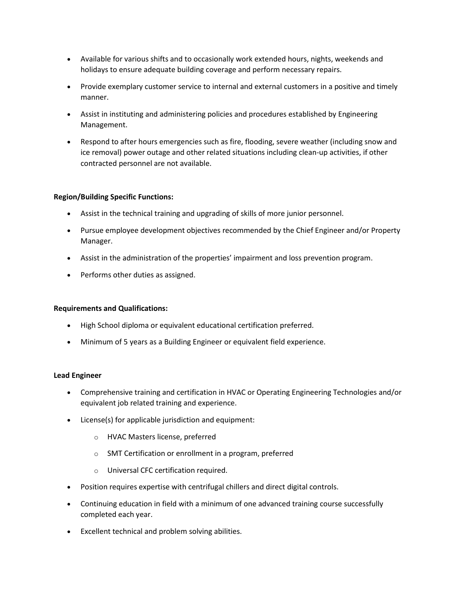- Available for various shifts and to occasionally work extended hours, nights, weekends and holidays to ensure adequate building coverage and perform necessary repairs.
- Provide exemplary customer service to internal and external customers in a positive and timely manner.
- Assist in instituting and administering policies and procedures established by Engineering Management.
- Respond to after hours emergencies such as fire, flooding, severe weather (including snow and ice removal) power outage and other related situations including clean-up activities, if other contracted personnel are not available.

# **Region/Building Specific Functions:**

- Assist in the technical training and upgrading of skills of more junior personnel.
- Pursue employee development objectives recommended by the Chief Engineer and/or Property Manager.
- Assist in the administration of the properties' impairment and loss prevention program.
- Performs other duties as assigned.

# **Requirements and Qualifications:**

- High School diploma or equivalent educational certification preferred.
- Minimum of 5 years as a Building Engineer or equivalent field experience.

# **Lead Engineer**

- Comprehensive training and certification in HVAC or Operating Engineering Technologies and/or equivalent job related training and experience.
- License(s) for applicable jurisdiction and equipment:
	- o HVAC Masters license, preferred
	- o SMT Certification or enrollment in a program, preferred
	- o Universal CFC certification required.
- Position requires expertise with centrifugal chillers and direct digital controls.
- Continuing education in field with a minimum of one advanced training course successfully completed each year.
- Excellent technical and problem solving abilities.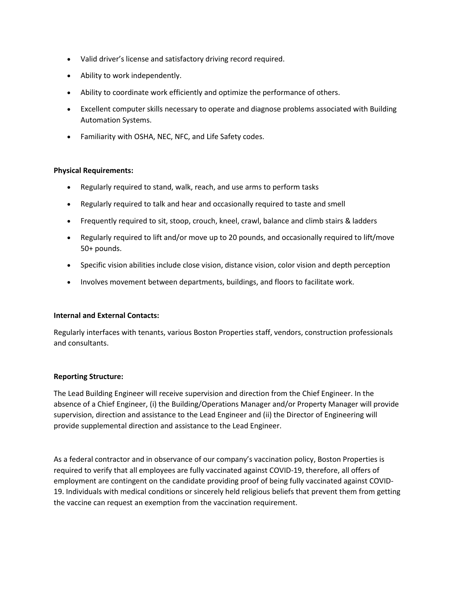- Valid driver's license and satisfactory driving record required.
- Ability to work independently.
- Ability to coordinate work efficiently and optimize the performance of others.
- Excellent computer skills necessary to operate and diagnose problems associated with Building Automation Systems.
- Familiarity with OSHA, NEC, NFC, and Life Safety codes.

# **Physical Requirements:**

- Regularly required to stand, walk, reach, and use arms to perform tasks
- Regularly required to talk and hear and occasionally required to taste and smell
- Frequently required to sit, stoop, crouch, kneel, crawl, balance and climb stairs & ladders
- Regularly required to lift and/or move up to 20 pounds, and occasionally required to lift/move 50+ pounds.
- Specific vision abilities include close vision, distance vision, color vision and depth perception
- Involves movement between departments, buildings, and floors to facilitate work.

#### **Internal and External Contacts:**

Regularly interfaces with tenants, various Boston Properties staff, vendors, construction professionals and consultants.

# **Reporting Structure:**

The Lead Building Engineer will receive supervision and direction from the Chief Engineer. In the absence of a Chief Engineer, (i) the Building/Operations Manager and/or Property Manager will provide supervision, direction and assistance to the Lead Engineer and (ii) the Director of Engineering will provide supplemental direction and assistance to the Lead Engineer.

As a federal contractor and in observance of our company's vaccination policy, Boston Properties is required to verify that all employees are fully vaccinated against COVID-19, therefore, all offers of employment are contingent on the candidate providing proof of being fully vaccinated against COVID-19. Individuals with medical conditions or sincerely held religious beliefs that prevent them from getting the vaccine can request an exemption from the vaccination requirement.